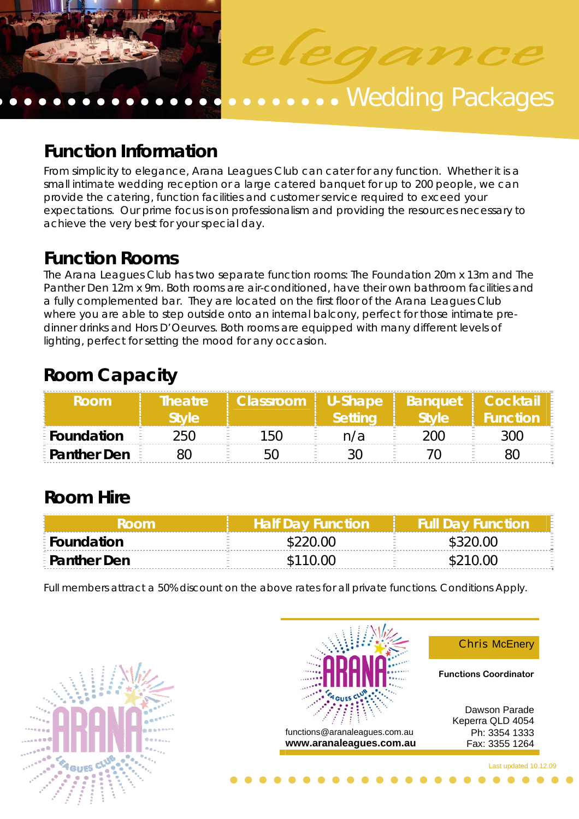

# **Function Information**

From simplicity to elegance, Arana Leagues Club can cater for any function. Whether it is a small intimate wedding reception or a large catered banquet for up to 200 people, we can provide the catering, function facilities and customer service required to exceed your expectations. Our prime focus is on professionalism and providing the resources necessary to achieve the very best for your special day.

**Function Rooms**<br>The Arana Leagues Club has two separate function rooms: The Foundation 20m x 13m and The Panther Den 12m x 9m. Both rooms are air-conditioned, have their own bathroom facilities and a fully complemented bar. They are located on the first floor of the Arana Leagues Club where you are able to step outside onto an internal balcony, perfect for those intimate predinner drinks and Hors D'Oeurves. Both rooms are equipped with many different levels of lighting, perfect for setting the mood for any occasion.

# **Room Capacity**

| <b>Room</b>          | <b>Theatre</b><br><b>Style</b> | Classroom   U-Shape   Banquet   Cocktail | Settina |      |     |
|----------------------|--------------------------------|------------------------------------------|---------|------|-----|
| E Foundation         | 250                            | 150                                      | n/a     | 200. | ነበበ |
| <b>E</b> Panther Den |                                |                                          |         |      |     |

# **Room Hire**

|                      | <b>Half Dav Function</b> | <b>Full Day Function</b> |
|----------------------|--------------------------|--------------------------|
| <b>E</b> Foundation  |                          |                          |
| <b>E</b> Panther Den | \$110.00                 |                          |

Full members attract a 50% discount on the above rates for all private functions. Conditions Apply.



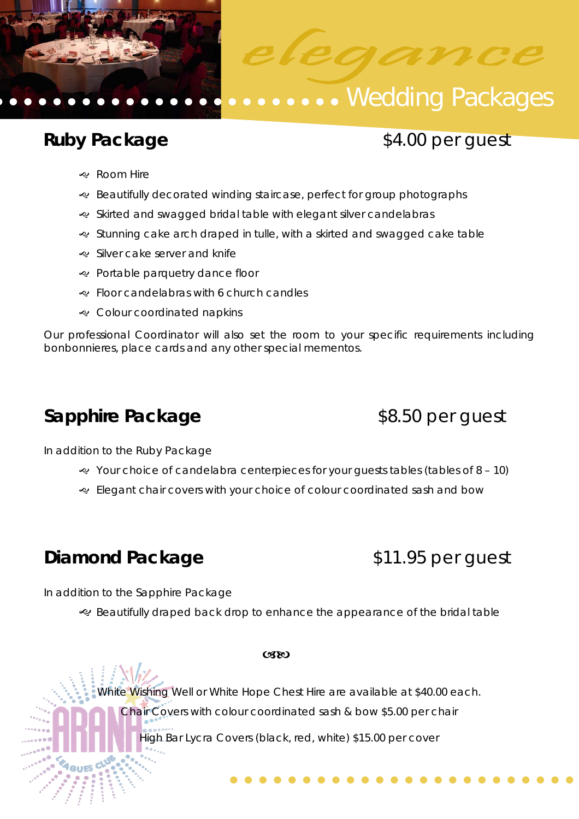

# **Ruby Package**   $$4.00$  per guest

- & Room Hire
- & Beautifully decorated winding staircase, perfect for group photographs
- $\approx$  Skirted and swagged bridal table with elegant silver candelabras
- Stunning cake arch draped in tulle, with a skirted and swagged cake table
- Silver cake server and knife
- Portable parquetry dance floor
- J Floor candelabras with 6 church candles
- & Colour coordinated napkins

Our professional Coordinator will also set the room to your specific requirements including bonbonnieres, place cards and any other special mementos.

# **Sapphire Package**  \$8.50 per guest

In addition to the Ruby Package

- $\ll$  Your choice of candelabra centerpieces for your quests tables (tables of 8 10)
- Elegant chair covers with your choice of colour coordinated sash and bow

# **Diamond Package \$11.95 per guest**

In addition to the Sapphire Package

· Beautifully draped back drop to enhance the appearance of the bridal table

#### **CSEO**

White Wishing Well or White Hope Chest Hire are available at \$40.00 each.

Chair Covers with colour coordinated sash & bow \$5.00 per chair

High Bar Lycra Covers (black, red, white) \$15.00 per cover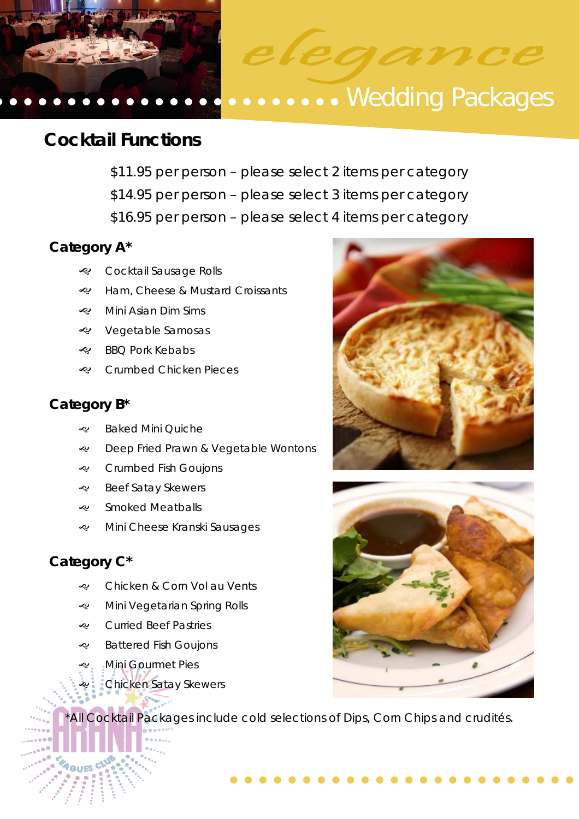

# **Cocktail Functions**

- \$11.95 per person please select 2 items per category
- \$14.95 per person please select 3 items per category
- \$16.95 per person please select 4 items per category

### **Category A\***

- & Cocktail Sausage Rolls
- e Ham, Cheese & Mustard Croissants
- $\ll$  Mini Asian Dim Sims
- & Vegetable Samosas
- RBO Pork Kebabs
- & Crumbed Chicken Pieces

### **Category B\***

- & Baked Mini Quiche
- **e** Deep Fried Prawn & Vegetable Wontons
- & Crumbed Fish Goujons
- & Beef Satay Skewers
- & Smoked Meatballs
- Mini Cheese Kranski Sausages

## **Category C\***

- & Chicken & Corn Vol au Vents
- Mini Vegetarian Spring Rolls
- & Curried Beef Pastries
- $\triangleleft$  Battered Fish Goujons
- e. Mini Gourmet Pies
	- **Chicken Satay Skewers**

\*All Cocktail Packages include cold selections of Dips, Corn Chips and crudités.



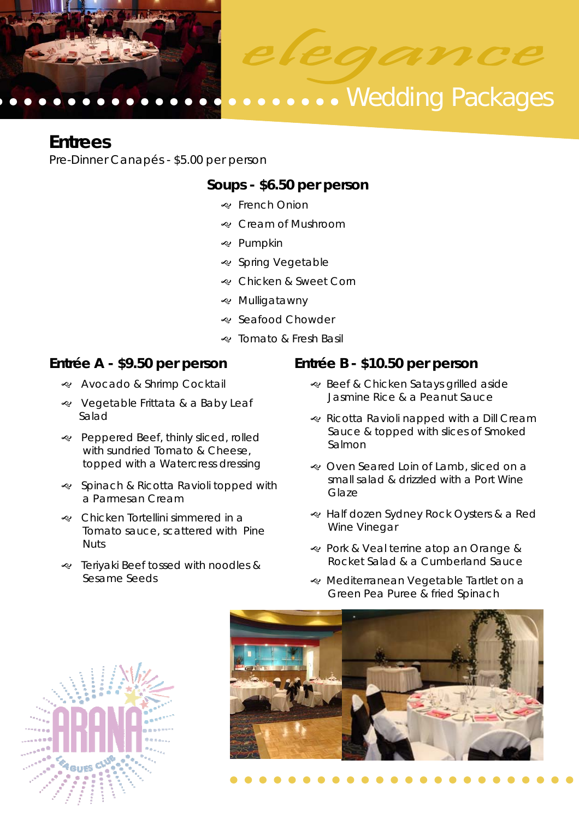

## **Entrees**

Pre-Dinner Canapés - \$5.00 per person

### **Soups - \$6.50 per person**

- & French Onion
- & Cream of Mushroom
- & Pumpkin
- & Spring Vegetable
- & Chicken & Sweet Corn
- & Mulligatawny
- · Seafood Chowder
- & Tomato & Fresh Basil

### **Entrée A - \$9.50 per person**

- & Avocado & Shrimp Cocktail
- **EXACTE SEXACTE PRINTER** & a Baby Leaf Salad
- Peppered Beef, thinly sliced, rolled with sundried Tomato & Cheese, topped with a Watercress dressing
- J Spinach & Ricotta Ravioli topped with a Parmesan Cream
- Chicken Tortellini simmered in a Tomato sauce, scattered with Pine Nuts
- Periyaki Beef tossed with noodles & Sesame Seeds

### **Entrée B - \$10.50 per person**

- & Beef & Chicken Satays grilled aside Jasmine Rice & a Peanut Sauce
- & Ricotta Ravioli napped with a Dill Cream Sauce & topped with slices of Smoked Salmon
- & Oven Seared Loin of Lamb, sliced on a small salad & drizzled with a Port Wine Glaze
- e Half dozen Sydney Rock Oysters & a Red Wine Vinegar
- & Pork & Veal terrine atop an Orange & Rocket Salad & a Cumberland Sauce
- « Mediterranean Vegetable Tartlet on a Green Pea Puree & fried Spinach



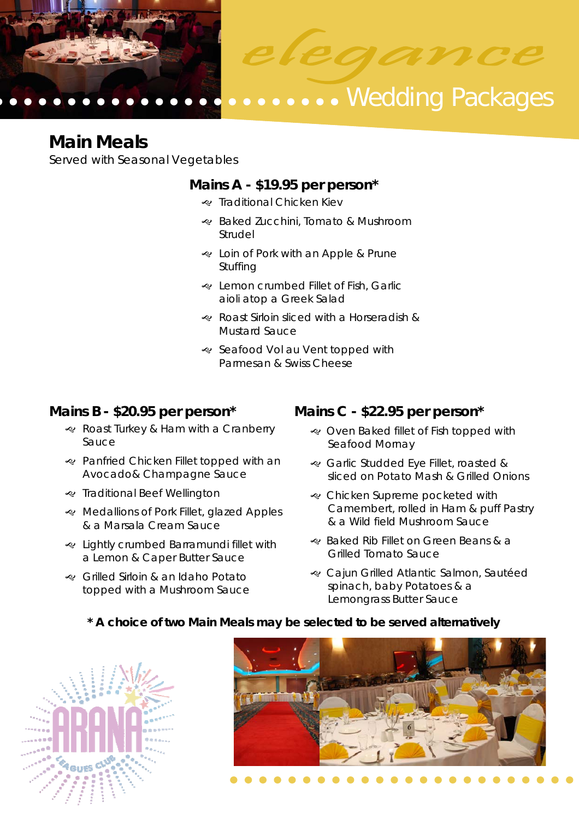

## **Main Meals**

Served with Seasonal Vegetables

### **Mains A - \$19.95 per person\***

- De Traditional Chicken Kiev
- Raked Zucchini, Tomato & Mushroom Strudel
- & Loin of Pork with an Apple & Prune Stuffing
- & Lemon crumbed Fillet of Fish, Garlic aioli atop a Greek Salad
- Roast Sirloin sliced with a Horseradish & Mustard Sauce
- · Seafood Vol au Vent topped with Parmesan & Swiss Cheese

### **Mains B - \$20.95 per person\***

- & Roast Turkey & Ham with a Cranberry Sauce
- Panfried Chicken Fillet topped with an Avocado& Champagne Sauce
- & Traditional Beef Wellington
- Redallions of Pork Fillet, glazed Apples & a Marsala Cream Sauce
- & Lightly crumbed Barramundi fillet with a Lemon & Caper Butter Sauce
- Grilled Sirloin & an Idaho Potato topped with a Mushroom Sauce

### **Mains C - \$22.95 per person\***

- & Oven Baked fillet of Fish topped with Seafood Mornay
- Garlic Studded Eye Fillet, roasted & sliced on Potato Mash & Grilled Onions
- & Chicken Supreme pocketed with Camembert, rolled in Ham & puff Pastry & a Wild field Mushroom Sauce
- Raked Rib Fillet on Green Beans & a Grilled Tomato Sauce
- & Cajun Grilled Atlantic Salmon, Sautéed spinach, baby Potatoes & a Lemongrass Butter Sauce

#### **\* A choice of two Main Meals may be selected to be served alternatively**



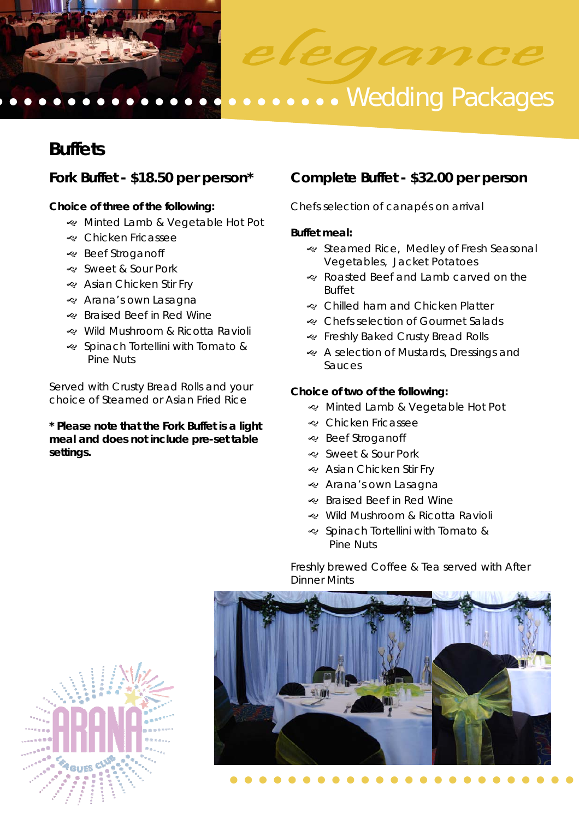



# **......** Wedding Packages

# **Buffets**

### **Choice of three of the following:**

- Minted Lamb & Vegetable Hot Pot
- e Chicken Fricassee
- · Beef Stroganoff
- & Sweet & Sour Pork
- & Asian Chicken Stir Fry
- & Arana's own Lasagna
- & Braised Beef in Red Wine
- Wild Mushroom & Ricotta Ravioli
- J Spinach Tortellini with Tomato & Pine Nuts

Served with Crusty Bread Rolls and your choice of Steamed or Asian Fried Rice

**\* Please note that the Fork Buffet is a light meal and does not include pre-set table settings.** 

### **Fork Buffet - \$18.50 per person\* Complete Buffet - \$32.00 per person**

Chefs selection of canapés on arrival

#### **Buffet meal:**

- · Steamed Rice, Medley of Fresh Seasonal Vegetables, Jacket Potatoes
- Roasted Beef and Lamb carved on the Buffet
- & Chilled ham and Chicken Platter
- & Chefs selection of Gourmet Salads
- & Freshly Baked Crusty Bread Rolls
- & A selection of Mustards, Dressings and Sauces

#### **Choice of two of the following:**

- & Minted Lamb & Vegetable Hot Pot
- & Chicken Fricassee
- **e** Beef Stroganoff
- & Sweet & Sour Pork
- & Asian Chicken Stir Fry
- & Arana's own Lasagna
- & Braised Beef in Red Wine
- Wild Mushroom & Ricotta Ravioli
- J Spinach Tortellini with Tomato & Pine Nuts

Freshly brewed Coffee & Tea served with After Dinner Mints



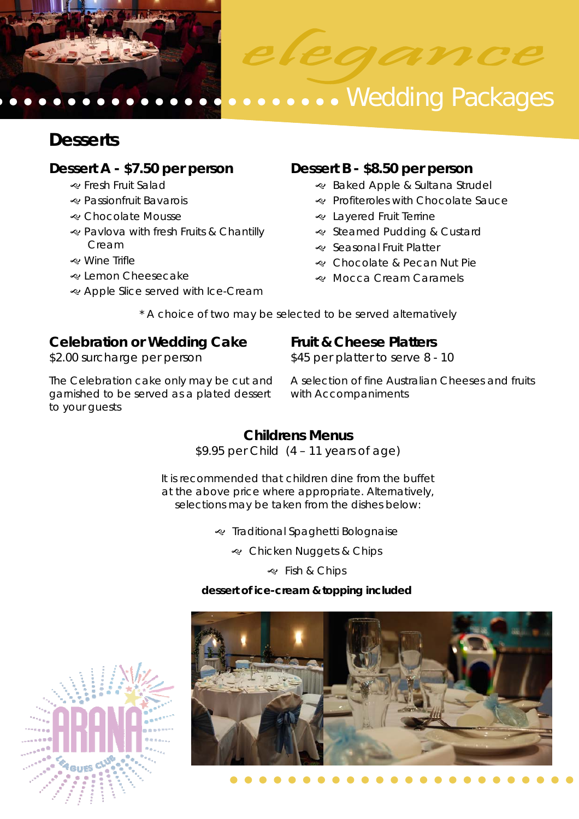

# **Desserts**

### **Dessert A - \$7.50 per person**

- & Fresh Fruit Salad
- J Passionfruit Bavarois
- & Chocolate Mousse
- & Pavlova with fresh Fruits & Chantilly Cream
- J Wine Trifle
- e Lemon Cheesecake
- & Apple Slice served with Ice-Cream

### **Dessert B - \$8.50 per person**

- & Baked Apple & Sultana Strudel
- & Profiteroles with Chocolate Sauce
- & Layered Fruit Terrine
- · Steamed Pudding & Custard
- · Seasonal Fruit Platter
- & Chocolate & Pecan Nut Pie
- & Mocca Cream Caramels

\* A choice of two may be selected to be served alternatively

### **Celebration or Wedding Cake**  \$2.00 surcharge per person

### **Fruit & Cheese Platters**

\$45 per platter to serve 8 - 10

The Celebration cake only may be cut and garnished to be served as a plated dessert to your guests

A selection of fine Australian Cheeses and fruits with Accompaniments

## **Childrens Menus**

\$9.95 per Child (4 – 11 years of age)

It is recommended that children dine from the buffet at the above price where appropriate. Alternatively, selections may be taken from the dishes below:

Traditional Spaghetti Bolognaise

& Chicken Nuggets & Chips

& Fish & Chips

### **dessert of ice-cream & topping included**



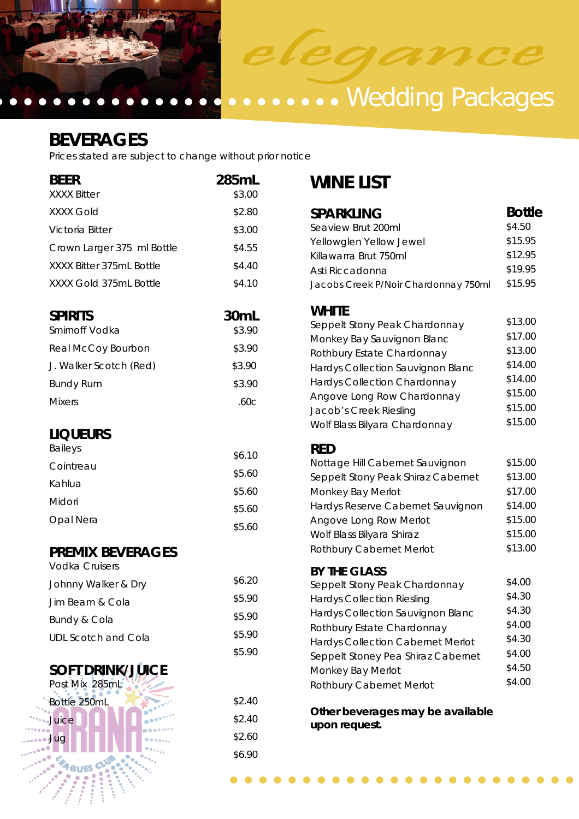



# **BEVERAGES**

Prices stated are subject to change without prior notice

| <b>BEER</b><br><b>XXXX Bitter</b>                | 285mL<br>\$3.00                                             | <b>WINE LIST</b>                                                                                                                |                               |
|--------------------------------------------------|-------------------------------------------------------------|---------------------------------------------------------------------------------------------------------------------------------|-------------------------------|
| <b>XXXX Gold</b>                                 | \$2.80                                                      | <b>SPARKLING</b>                                                                                                                | <b>Bottle</b>                 |
| Victoria Bitter                                  | \$3.00                                                      | Seaview Brut 200ml                                                                                                              | \$4.50                        |
| Crown Larger 375 ml Bottle                       | \$4.55                                                      | Yellowglen Yellow Jewel                                                                                                         | \$15.95                       |
| XXXX Bitter 375mL Bottle                         | \$4.40                                                      | Killawarra Brut 750ml<br>Asti Riccadonna                                                                                        | \$12.95<br>\$19.95            |
| XXXX Gold 375mL Bottle                           | \$4.10                                                      | Jacobs Creek P/Noir Chardonnay 750ml                                                                                            | \$15.95                       |
| <b>SPIRITS</b><br>Smirnoff Vodka                 | 30mL<br>\$3.90                                              | <b>WHITE</b><br>Seppelt Stony Peak Chardonnay                                                                                   | \$13.00<br>\$17.00            |
| Real McCoy Bourbon                               | \$3.90                                                      | Monkey Bay Sauvignon Blanc                                                                                                      | \$13.00                       |
| J. Walker Scotch (Red)                           | \$3.90                                                      | Rothbury Estate Chardonnay<br>Hardys Collection Sauvignon Blanc                                                                 | \$14.00                       |
| <b>Bundy Rum</b>                                 | \$3.90                                                      | Hardys Collection Chardonnay                                                                                                    | \$14.00                       |
| <b>Mixers</b>                                    | .60c                                                        | Angove Long Row Chardonnay<br>Jacob's Creek Riesling                                                                            | \$15.00<br>\$15.00<br>\$15.00 |
| <b>LIQUEURS</b>                                  |                                                             | Wolf Blass Bilyara Chardonnay                                                                                                   |                               |
| <b>Baileys</b>                                   | \$6.10                                                      | <b>RED</b>                                                                                                                      |                               |
| Cointreau                                        | \$5.60                                                      | Nottage Hill Cabernet Sauvignon<br>Seppelt Stony Peak Shiraz Cabernet<br>Monkey Bay Merlot<br>Hardys Reserve Cabernet Sauvignon | \$15.00                       |
| Kahlua                                           |                                                             |                                                                                                                                 | \$13.00                       |
| Midori                                           | \$5.60                                                      |                                                                                                                                 | \$17.00<br>\$14.00            |
| Opal Nera                                        | \$5.60<br>\$5.60                                            | Angove Long Row Merlot<br>Wolf Blass Bilyara Shiraz                                                                             | \$15.00<br>\$15.00            |
| <b>PREMIX BEVERAGES</b><br><b>Vodka Cruisers</b> |                                                             | Rothbury Cabernet Merlot                                                                                                        | \$13.00                       |
| Johnny Walker & Dry                              | \$6.20                                                      | <b>BY THE GLASS</b><br>Seppelt Stony Peak Chardonnay                                                                            | \$4.00                        |
| Jim Beam & Cola                                  | \$5.90                                                      | <b>Hardys Collection Riesling</b>                                                                                               | \$4.30                        |
| Bundy & Cola                                     | Hardys Collection Sauvignon Blanc<br>\$5.90                 |                                                                                                                                 | \$4.30<br>\$4.00              |
| <b>UDL Scotch and Cola</b>                       | \$5.90                                                      | Rothbury Estate Chardonnay<br><b>Hardys Collection Cabernet Merlot</b>                                                          | \$4.30                        |
|                                                  | \$5.90                                                      | Seppelt Stoney Pea Shiraz Cabernet                                                                                              | \$4.00                        |
| <b>SOFT DRINK/JUJCE</b><br>Post Mix 285mL        |                                                             | Monkey Bay Merlot<br>Rothbury Cabernet Merlot                                                                                   | \$4.50<br>\$4.00              |
| Bottle 250mL                                     | \$2.40                                                      |                                                                                                                                 |                               |
| Juice                                            | Other beverages may be available<br>\$2.40<br>upon request. |                                                                                                                                 |                               |
| Jug                                              | \$2.60                                                      |                                                                                                                                 |                               |
|                                                  | 0 <sub>0</sub>                                              |                                                                                                                                 |                               |

\$6.90

W

Ñ **CRASH** I

**GUS** veues<br>Maria<br>Alfred